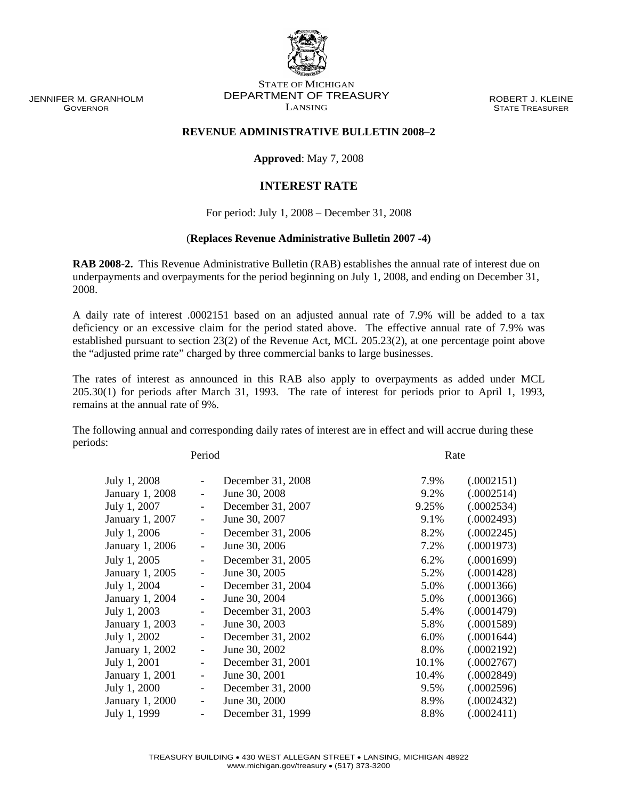JENNIFER M. GRANHOLM GOVERNOR

## STATE OF MICHIGAN DEPARTMENT OF TREASURY LANSING

ROBERT J. KLEINE STATE TREASURER

## **REVENUE ADMINISTRATIVE BULLETIN 2008–2**

**Approved**: May 7, 2008

## **INTEREST RATE**

For period: July 1, 2008 – December 31, 2008

## (**Replaces Revenue Administrative Bulletin 2007 -4)**

**RAB 2008-2.** This Revenue Administrative Bulletin (RAB) establishes the annual rate of interest due on underpayments and overpayments for the period beginning on July 1, 2008, and ending on December 31, 2008.

A daily rate of interest .0002151 based on an adjusted annual rate of 7.9% will be added to a tax deficiency or an excessive claim for the period stated above. The effective annual rate of 7.9% was established pursuant to section 23(2) of the Revenue Act, MCL 205.23(2), at one percentage point above the "adjusted prime rate" charged by three commercial banks to large businesses.

The rates of interest as announced in this RAB also apply to overpayments as added under MCL 205.30(1) for periods after March 31, 1993. The rate of interest for periods prior to April 1, 1993, remains at the annual rate of 9%.

The following annual and corresponding daily rates of interest are in effect and will accrue during these periods:

Period Rate

| July 1, 2008    |                          | December 31, 2008 | 7.9%  | (.0002151) |
|-----------------|--------------------------|-------------------|-------|------------|
| January 1, 2008 | $\overline{\phantom{0}}$ | June 30, 2008     | 9.2%  | (.0002514) |
| July 1, 2007    | $\overline{\phantom{0}}$ | December 31, 2007 | 9.25% | (.0002534) |
| January 1, 2007 | $\overline{\phantom{0}}$ | June 30, 2007     | 9.1%  | (.0002493) |
| July 1, 2006    | $\overline{\phantom{0}}$ | December 31, 2006 | 8.2%  | (.0002245) |
| January 1, 2006 | $\overline{\phantom{0}}$ | June 30, 2006     | 7.2%  | (.0001973) |
| July 1, 2005    | $\overline{\phantom{0}}$ | December 31, 2005 | 6.2%  | (.0001699) |
| January 1, 2005 | $\overline{\phantom{0}}$ | June 30, 2005     | 5.2%  | (.0001428) |
| July 1, 2004    | $\overline{\phantom{0}}$ | December 31, 2004 | 5.0%  | (.0001366) |
| January 1, 2004 | -                        | June 30, 2004     | 5.0%  | (.0001366) |
| July 1, 2003    | $\overline{\phantom{0}}$ | December 31, 2003 | 5.4%  | (.0001479) |
| January 1, 2003 | -                        | June 30, 2003     | 5.8%  | (.0001589) |
| July 1, 2002    |                          | December 31, 2002 | 6.0%  | (.0001644) |
| January 1, 2002 | -                        | June 30, 2002     | 8.0%  | (.0002192) |
| July 1, 2001    | $\overline{\phantom{0}}$ | December 31, 2001 | 10.1% | (.0002767) |
| January 1, 2001 | -                        | June 30, 2001     | 10.4% | (.0002849) |
| July 1, 2000    | $\overline{\phantom{0}}$ | December 31, 2000 | 9.5%  | (.0002596) |
| January 1, 2000 | Ξ.                       | June 30, 2000     | 8.9%  | (.0002432) |
| July 1, 1999    |                          | December 31, 1999 | 8.8%  | (.0002411) |